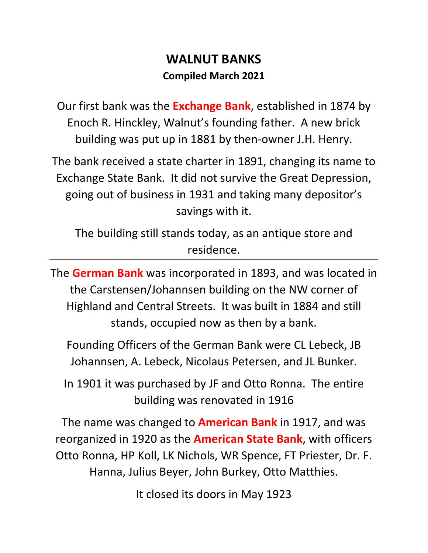## **WALNUT BANKS Compiled March 2021**

Our first bank was the **Exchange Bank**, established in 1874 by Enoch R. Hinckley, Walnut's founding father. A new brick building was put up in 1881 by then-owner J.H. Henry.

The bank received a state charter in 1891, changing its name to Exchange State Bank. It did not survive the Great Depression, going out of business in 1931 and taking many depositor's savings with it.

The building still stands today, as an antique store and residence.

The **German Bank** was incorporated in 1893, and was located in the Carstensen/Johannsen building on the NW corner of Highland and Central Streets. It was built in 1884 and still stands, occupied now as then by a bank.

Founding Officers of the German Bank were CL Lebeck, JB Johannsen, A. Lebeck, Nicolaus Petersen, and JL Bunker.

In 1901 it was purchased by JF and Otto Ronna. The entire building was renovated in 1916

The name was changed to **American Bank** in 1917, and was reorganized in 1920 as the **American State Bank**, with officers Otto Ronna, HP Koll, LK Nichols, WR Spence, FT Priester, Dr. F. Hanna, Julius Beyer, John Burkey, Otto Matthies.

It closed its doors in May 1923